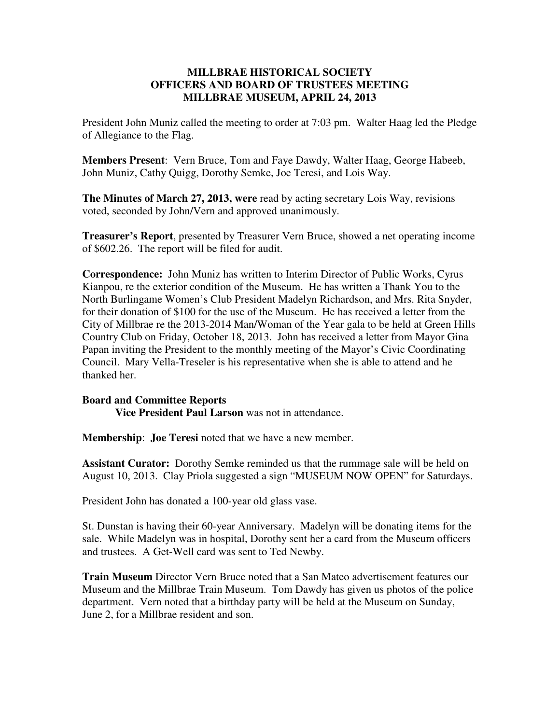## **MILLBRAE HISTORICAL SOCIETY OFFICERS AND BOARD OF TRUSTEES MEETING MILLBRAE MUSEUM, APRIL 24, 2013**

President John Muniz called the meeting to order at 7:03 pm. Walter Haag led the Pledge of Allegiance to the Flag.

**Members Present**: Vern Bruce, Tom and Faye Dawdy, Walter Haag, George Habeeb, John Muniz, Cathy Quigg, Dorothy Semke, Joe Teresi, and Lois Way.

**The Minutes of March 27, 2013, were** read by acting secretary Lois Way, revisions voted, seconded by John/Vern and approved unanimously.

**Treasurer's Report**, presented by Treasurer Vern Bruce, showed a net operating income of \$602.26. The report will be filed for audit.

**Correspondence:** John Muniz has written to Interim Director of Public Works, Cyrus Kianpou, re the exterior condition of the Museum. He has written a Thank You to the North Burlingame Women's Club President Madelyn Richardson, and Mrs. Rita Snyder, for their donation of \$100 for the use of the Museum. He has received a letter from the City of Millbrae re the 2013-2014 Man/Woman of the Year gala to be held at Green Hills Country Club on Friday, October 18, 2013. John has received a letter from Mayor Gina Papan inviting the President to the monthly meeting of the Mayor's Civic Coordinating Council. Mary Vella-Treseler is his representative when she is able to attend and he thanked her.

## **Board and Committee Reports**

 **Vice President Paul Larson** was not in attendance.

**Membership**: **Joe Teresi** noted that we have a new member.

**Assistant Curator:** Dorothy Semke reminded us that the rummage sale will be held on August 10, 2013. Clay Priola suggested a sign "MUSEUM NOW OPEN" for Saturdays.

President John has donated a 100-year old glass vase.

St. Dunstan is having their 60-year Anniversary. Madelyn will be donating items for the sale. While Madelyn was in hospital, Dorothy sent her a card from the Museum officers and trustees. A Get-Well card was sent to Ted Newby.

**Train Museum** Director Vern Bruce noted that a San Mateo advertisement features our Museum and the Millbrae Train Museum. Tom Dawdy has given us photos of the police department. Vern noted that a birthday party will be held at the Museum on Sunday, June 2, for a Millbrae resident and son.